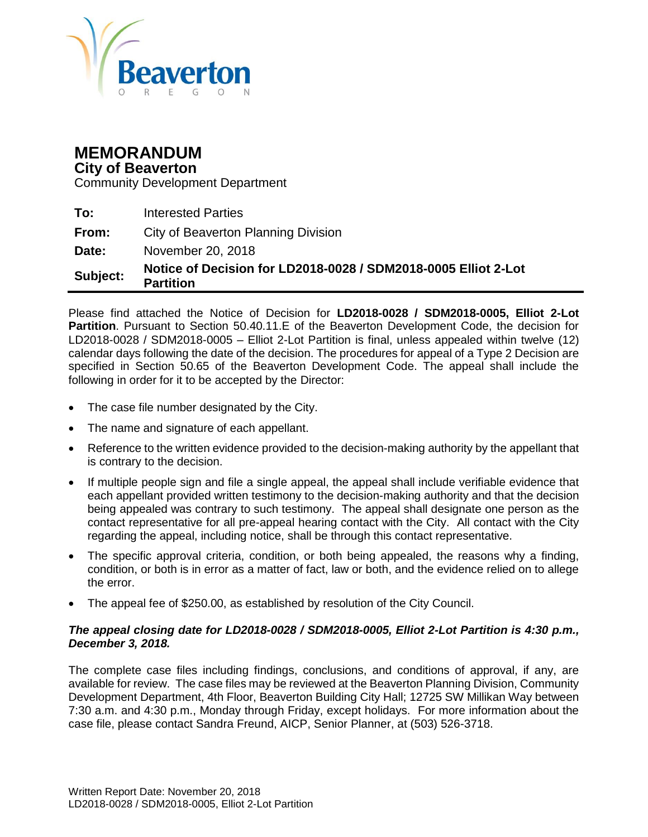

# **MEMORANDUM**

**City of Beaverton**

Community Development Department

| Subject: | Notice of Decision for LD2018-0028 / SDM2018-0005 Elliot 2-Lot<br><b>Partition</b> |
|----------|------------------------------------------------------------------------------------|
| Date:    | November 20, 2018                                                                  |
| From:    | City of Beaverton Planning Division                                                |
| To:      | Interested Parties                                                                 |

Please find attached the Notice of Decision for **LD2018-0028 / SDM2018-0005, Elliot 2-Lot Partition**. Pursuant to Section 50.40.11.E of the Beaverton Development Code, the decision for LD2018-0028 / SDM2018-0005 – Elliot 2-Lot Partition is final, unless appealed within twelve (12) calendar days following the date of the decision. The procedures for appeal of a Type 2 Decision are specified in Section 50.65 of the Beaverton Development Code. The appeal shall include the following in order for it to be accepted by the Director:

- The case file number designated by the City.
- The name and signature of each appellant.
- Reference to the written evidence provided to the decision-making authority by the appellant that is contrary to the decision.
- If multiple people sign and file a single appeal, the appeal shall include verifiable evidence that each appellant provided written testimony to the decision-making authority and that the decision being appealed was contrary to such testimony. The appeal shall designate one person as the contact representative for all pre-appeal hearing contact with the City. All contact with the City regarding the appeal, including notice, shall be through this contact representative.
- The specific approval criteria, condition, or both being appealed, the reasons why a finding, condition, or both is in error as a matter of fact, law or both, and the evidence relied on to allege the error.
- The appeal fee of \$250.00, as established by resolution of the City Council.

#### *The appeal closing date for LD2018-0028 / SDM2018-0005, Elliot 2-Lot Partition is 4:30 p.m., December 3, 2018.*

The complete case files including findings, conclusions, and conditions of approval, if any, are available for review. The case files may be reviewed at the Beaverton Planning Division, Community Development Department, 4th Floor, Beaverton Building City Hall; 12725 SW Millikan Way between 7:30 a.m. and 4:30 p.m., Monday through Friday, except holidays. For more information about the case file, please contact Sandra Freund, AICP, Senior Planner, at (503) 526-3718.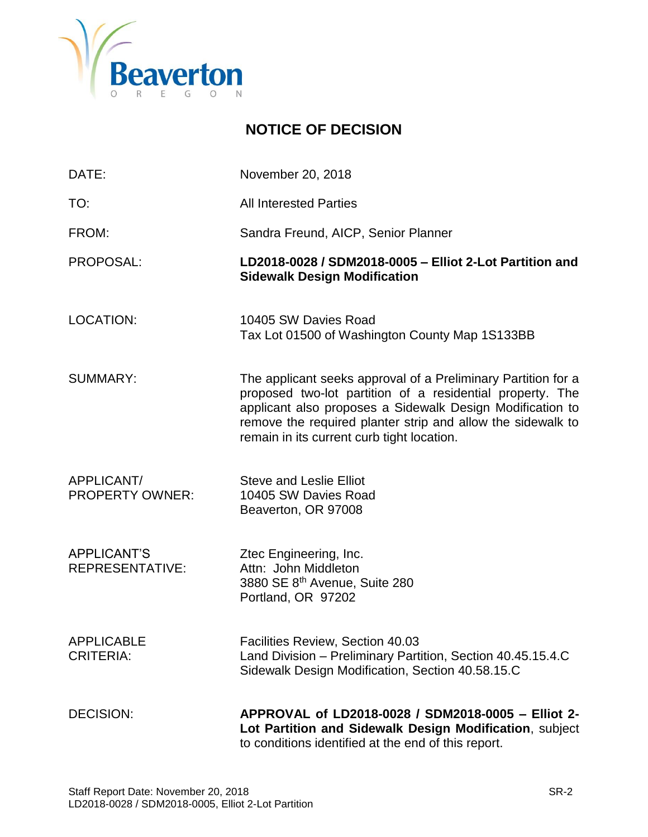

# **NOTICE OF DECISION**

| DATE:                                        | November 20, 2018                                                                                                                                                                                                                                                                                    |
|----------------------------------------------|------------------------------------------------------------------------------------------------------------------------------------------------------------------------------------------------------------------------------------------------------------------------------------------------------|
| TO:                                          | <b>All Interested Parties</b>                                                                                                                                                                                                                                                                        |
| FROM:                                        | Sandra Freund, AICP, Senior Planner                                                                                                                                                                                                                                                                  |
| PROPOSAL:                                    | LD2018-0028 / SDM2018-0005 - Elliot 2-Lot Partition and<br><b>Sidewalk Design Modification</b>                                                                                                                                                                                                       |
| <b>LOCATION:</b>                             | 10405 SW Davies Road<br>Tax Lot 01500 of Washington County Map 1S133BB                                                                                                                                                                                                                               |
| <b>SUMMARY:</b>                              | The applicant seeks approval of a Preliminary Partition for a<br>proposed two-lot partition of a residential property. The<br>applicant also proposes a Sidewalk Design Modification to<br>remove the required planter strip and allow the sidewalk to<br>remain in its current curb tight location. |
| APPLICANT/<br><b>PROPERTY OWNER:</b>         | <b>Steve and Leslie Elliot</b><br>10405 SW Davies Road<br>Beaverton, OR 97008                                                                                                                                                                                                                        |
| <b>APPLICANT'S</b><br><b>REPRESENTATIVE:</b> | Ztec Engineering, Inc.<br>Attn: John Middleton<br>3880 SE 8 <sup>th</sup> Avenue, Suite 280<br>Portland, OR 97202                                                                                                                                                                                    |
| <b>APPLICABLE</b><br><b>CRITERIA:</b>        | Facilities Review, Section 40.03<br>Land Division - Preliminary Partition, Section 40.45.15.4.C<br>Sidewalk Design Modification, Section 40.58.15.C                                                                                                                                                  |
| <b>DECISION:</b>                             | APPROVAL of LD2018-0028 / SDM2018-0005 - Elliot 2-<br>Lot Partition and Sidewalk Design Modification, subject<br>to conditions identified at the end of this report.                                                                                                                                 |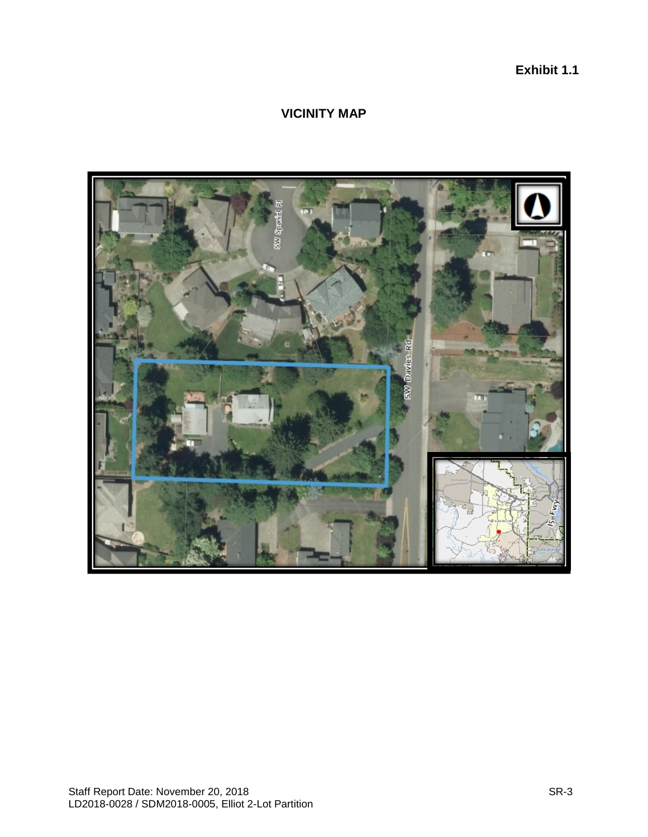**Exhibit 1.1**

# **VICINITY MAP**

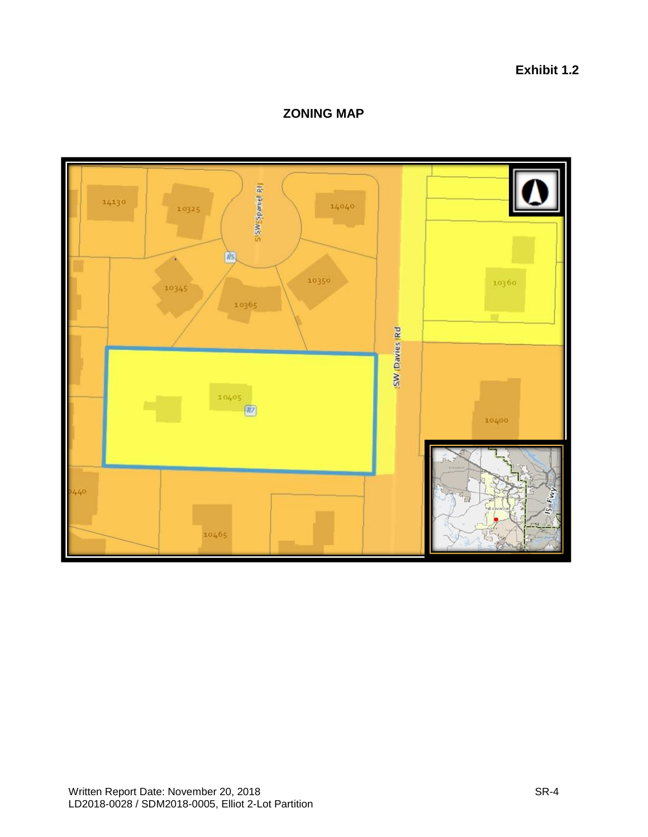**Exhibit 1.2**



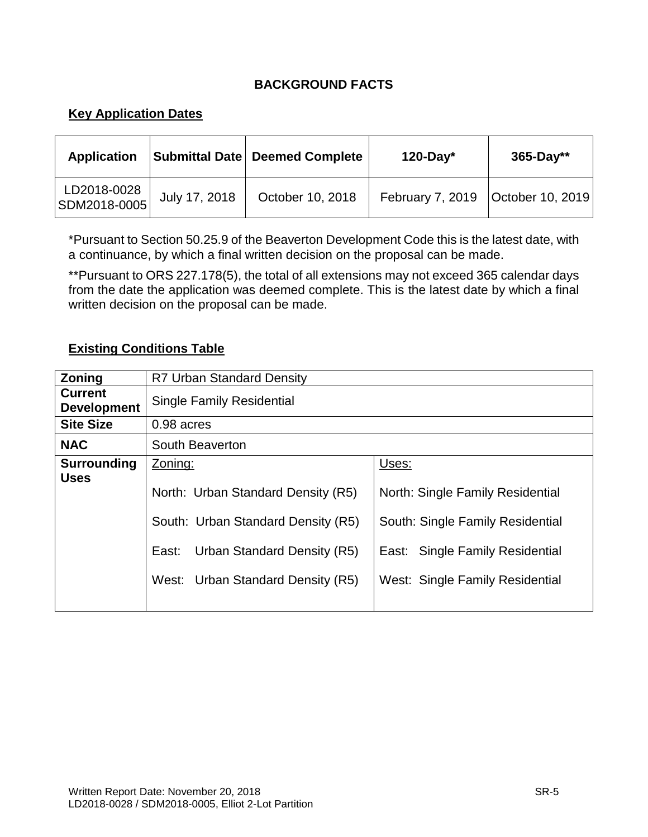# **BACKGROUND FACTS**

# **Key Application Dates**

| <b>Application</b>          |               | Submittal Date Deemed Complete | $120$ -Day*      | $365 - Day**$           |
|-----------------------------|---------------|--------------------------------|------------------|-------------------------|
| LD2018-0028<br>SDM2018-0005 | July 17, 2018 | October 10, 2018               | February 7, 2019 | <b>October 10, 2019</b> |

\*Pursuant to Section 50.25.9 of the Beaverton Development Code this is the latest date, with a continuance, by which a final written decision on the proposal can be made.

\*\*Pursuant to ORS 227.178(5), the total of all extensions may not exceed 365 calendar days from the date the application was deemed complete. This is the latest date by which a final written decision on the proposal can be made.

#### **Existing Conditions Table**

| Zoning                               | <b>R7 Urban Standard Density</b>                                                                                                                                 |                                                                                                                                                     |  |
|--------------------------------------|------------------------------------------------------------------------------------------------------------------------------------------------------------------|-----------------------------------------------------------------------------------------------------------------------------------------------------|--|
| <b>Current</b><br><b>Development</b> | <b>Single Family Residential</b>                                                                                                                                 |                                                                                                                                                     |  |
| <b>Site Size</b>                     | 0.98 acres                                                                                                                                                       |                                                                                                                                                     |  |
| <b>NAC</b>                           | South Beaverton                                                                                                                                                  |                                                                                                                                                     |  |
| <b>Surrounding</b><br><b>Uses</b>    | Zoning:<br>North: Urban Standard Density (R5)<br>South: Urban Standard Density (R5)<br>Urban Standard Density (R5)<br>East:<br>West: Urban Standard Density (R5) | Uses:<br>North: Single Family Residential<br>South: Single Family Residential<br>East: Single Family Residential<br>West: Single Family Residential |  |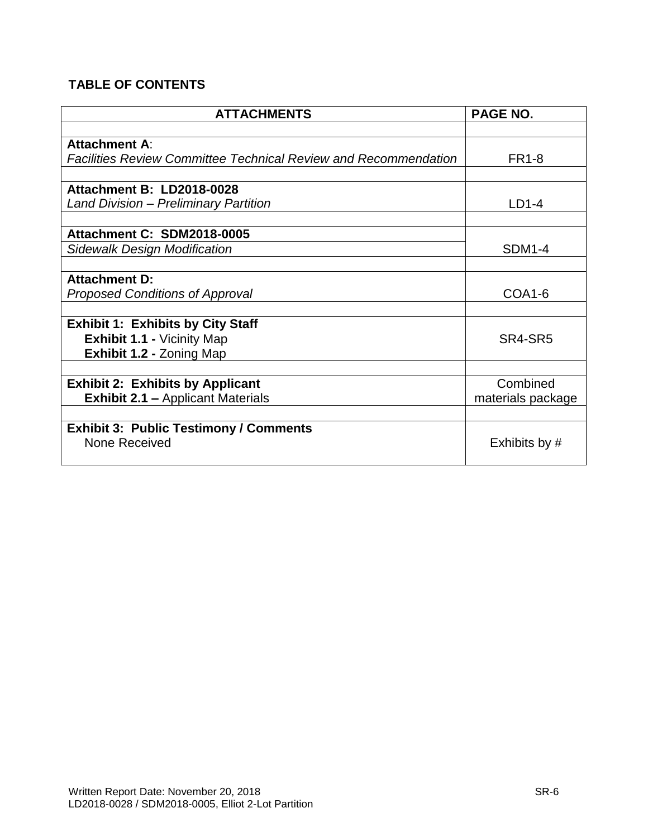# **TABLE OF CONTENTS**

| <b>ATTACHMENTS</b>                                                     | <b>PAGE NO.</b>   |
|------------------------------------------------------------------------|-------------------|
|                                                                        |                   |
| <b>Attachment A:</b>                                                   |                   |
| <b>Facilities Review Committee Technical Review and Recommendation</b> | <b>FR1-8</b>      |
|                                                                        |                   |
| Attachment B: LD2018-0028                                              |                   |
| <b>Land Division - Preliminary Partition</b>                           | $LD1-4$           |
|                                                                        |                   |
| Attachment C: SDM2018-0005                                             |                   |
| <b>Sidewalk Design Modification</b>                                    | <b>SDM1-4</b>     |
|                                                                        |                   |
| <b>Attachment D:</b>                                                   |                   |
| <b>Proposed Conditions of Approval</b>                                 | COA1-6            |
|                                                                        |                   |
| <b>Exhibit 1: Exhibits by City Staff</b>                               |                   |
| <b>Exhibit 1.1 - Vicinity Map</b>                                      | SR4-SR5           |
| Exhibit 1.2 - Zoning Map                                               |                   |
|                                                                        |                   |
| <b>Exhibit 2: Exhibits by Applicant</b>                                | Combined          |
| <b>Exhibit 2.1 - Applicant Materials</b>                               | materials package |
|                                                                        |                   |
| <b>Exhibit 3: Public Testimony / Comments</b>                          |                   |
| None Received                                                          | Exhibits by #     |
|                                                                        |                   |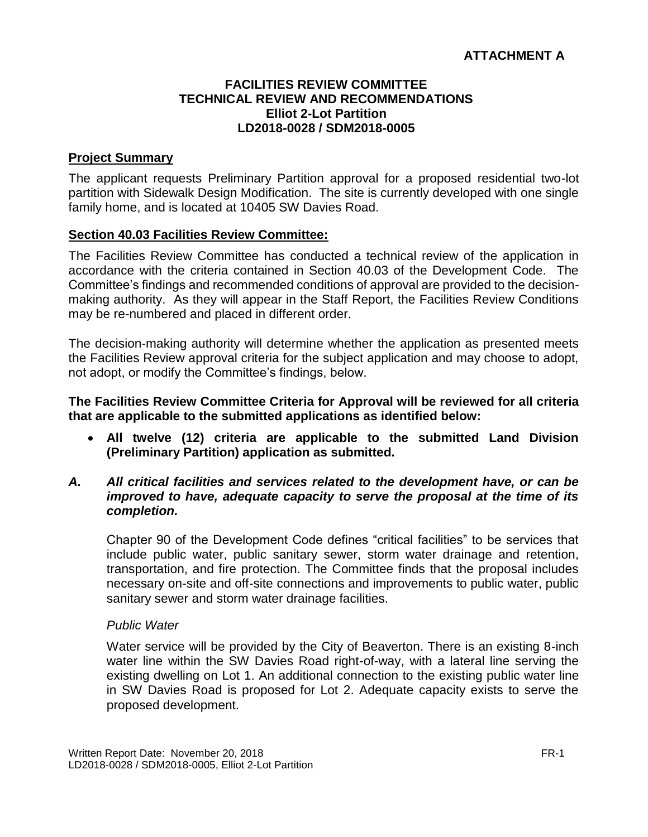#### **FACILITIES REVIEW COMMITTEE TECHNICAL REVIEW AND RECOMMENDATIONS Elliot 2-Lot Partition LD2018-0028 / SDM2018-0005**

#### **Project Summary**

The applicant requests Preliminary Partition approval for a proposed residential two-lot partition with Sidewalk Design Modification. The site is currently developed with one single family home, and is located at 10405 SW Davies Road.

#### **Section 40.03 Facilities Review Committee:**

The Facilities Review Committee has conducted a technical review of the application in accordance with the criteria contained in Section 40.03 of the Development Code. The Committee's findings and recommended conditions of approval are provided to the decisionmaking authority. As they will appear in the Staff Report, the Facilities Review Conditions may be re-numbered and placed in different order.

The decision-making authority will determine whether the application as presented meets the Facilities Review approval criteria for the subject application and may choose to adopt, not adopt, or modify the Committee's findings, below.

**The Facilities Review Committee Criteria for Approval will be reviewed for all criteria that are applicable to the submitted applications as identified below:**

 **All twelve (12) criteria are applicable to the submitted Land Division (Preliminary Partition) application as submitted.**

#### *A. All critical facilities and services related to the development have, or can be improved to have, adequate capacity to serve the proposal at the time of its completion.*

Chapter 90 of the Development Code defines "critical facilities" to be services that include public water, public sanitary sewer, storm water drainage and retention, transportation, and fire protection. The Committee finds that the proposal includes necessary on-site and off-site connections and improvements to public water, public sanitary sewer and storm water drainage facilities.

#### *Public Water*

Water service will be provided by the City of Beaverton. There is an existing 8-inch water line within the SW Davies Road right-of-way, with a lateral line serving the existing dwelling on Lot 1. An additional connection to the existing public water line in SW Davies Road is proposed for Lot 2. Adequate capacity exists to serve the proposed development.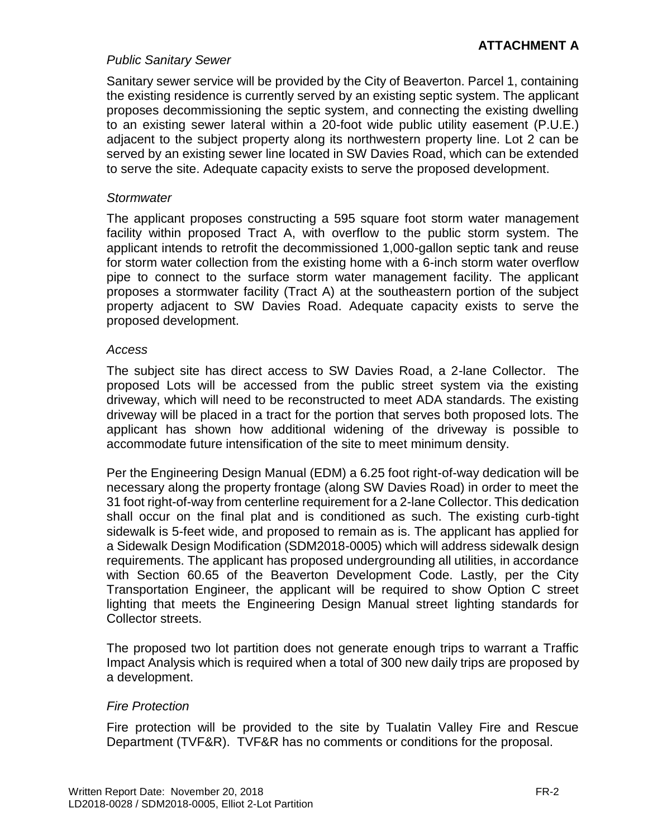# *Public Sanitary Sewer*

Sanitary sewer service will be provided by the City of Beaverton. Parcel 1, containing the existing residence is currently served by an existing septic system. The applicant proposes decommissioning the septic system, and connecting the existing dwelling to an existing sewer lateral within a 20-foot wide public utility easement (P.U.E.) adjacent to the subject property along its northwestern property line. Lot 2 can be served by an existing sewer line located in SW Davies Road, which can be extended to serve the site. Adequate capacity exists to serve the proposed development.

#### *Stormwater*

The applicant proposes constructing a 595 square foot storm water management facility within proposed Tract A, with overflow to the public storm system. The applicant intends to retrofit the decommissioned 1,000-gallon septic tank and reuse for storm water collection from the existing home with a 6-inch storm water overflow pipe to connect to the surface storm water management facility. The applicant proposes a stormwater facility (Tract A) at the southeastern portion of the subject property adjacent to SW Davies Road. Adequate capacity exists to serve the proposed development.

#### *Access*

The subject site has direct access to SW Davies Road, a 2-lane Collector. The proposed Lots will be accessed from the public street system via the existing driveway, which will need to be reconstructed to meet ADA standards. The existing driveway will be placed in a tract for the portion that serves both proposed lots. The applicant has shown how additional widening of the driveway is possible to accommodate future intensification of the site to meet minimum density.

Per the Engineering Design Manual (EDM) a 6.25 foot right-of-way dedication will be necessary along the property frontage (along SW Davies Road) in order to meet the 31 foot right-of-way from centerline requirement for a 2-lane Collector. This dedication shall occur on the final plat and is conditioned as such. The existing curb-tight sidewalk is 5-feet wide, and proposed to remain as is. The applicant has applied for a Sidewalk Design Modification (SDM2018-0005) which will address sidewalk design requirements. The applicant has proposed undergrounding all utilities, in accordance with Section 60.65 of the Beaverton Development Code. Lastly, per the City Transportation Engineer, the applicant will be required to show Option C street lighting that meets the Engineering Design Manual street lighting standards for Collector streets.

The proposed two lot partition does not generate enough trips to warrant a Traffic Impact Analysis which is required when a total of 300 new daily trips are proposed by a development.

#### *Fire Protection*

Fire protection will be provided to the site by Tualatin Valley Fire and Rescue Department (TVF&R). TVF&R has no comments or conditions for the proposal.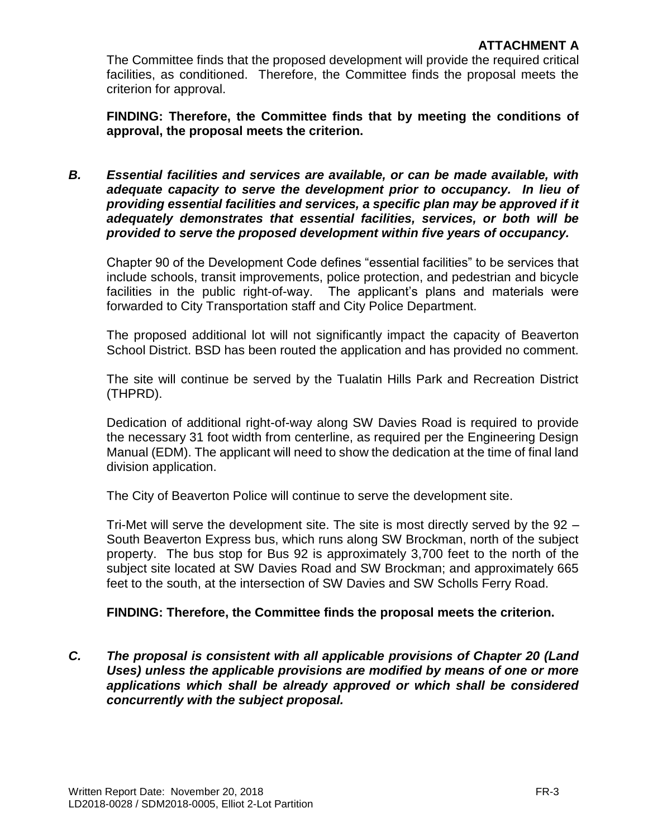The Committee finds that the proposed development will provide the required critical facilities, as conditioned. Therefore, the Committee finds the proposal meets the criterion for approval.

**FINDING: Therefore, the Committee finds that by meeting the conditions of approval, the proposal meets the criterion.** 

*B. Essential facilities and services are available, or can be made available, with adequate capacity to serve the development prior to occupancy. In lieu of providing essential facilities and services, a specific plan may be approved if it adequately demonstrates that essential facilities, services, or both will be provided to serve the proposed development within five years of occupancy.*

Chapter 90 of the Development Code defines "essential facilities" to be services that include schools, transit improvements, police protection, and pedestrian and bicycle facilities in the public right-of-way. The applicant's plans and materials were forwarded to City Transportation staff and City Police Department.

The proposed additional lot will not significantly impact the capacity of Beaverton School District. BSD has been routed the application and has provided no comment.

The site will continue be served by the Tualatin Hills Park and Recreation District (THPRD).

Dedication of additional right-of-way along SW Davies Road is required to provide the necessary 31 foot width from centerline, as required per the Engineering Design Manual (EDM). The applicant will need to show the dedication at the time of final land division application.

The City of Beaverton Police will continue to serve the development site.

Tri-Met will serve the development site. The site is most directly served by the 92 – South Beaverton Express bus, which runs along SW Brockman, north of the subject property. The bus stop for Bus 92 is approximately 3,700 feet to the north of the subject site located at SW Davies Road and SW Brockman; and approximately 665 feet to the south, at the intersection of SW Davies and SW Scholls Ferry Road.

#### **FINDING: Therefore, the Committee finds the proposal meets the criterion.**

*C. The proposal is consistent with all applicable provisions of Chapter 20 (Land Uses) unless the applicable provisions are modified by means of one or more applications which shall be already approved or which shall be considered concurrently with the subject proposal.*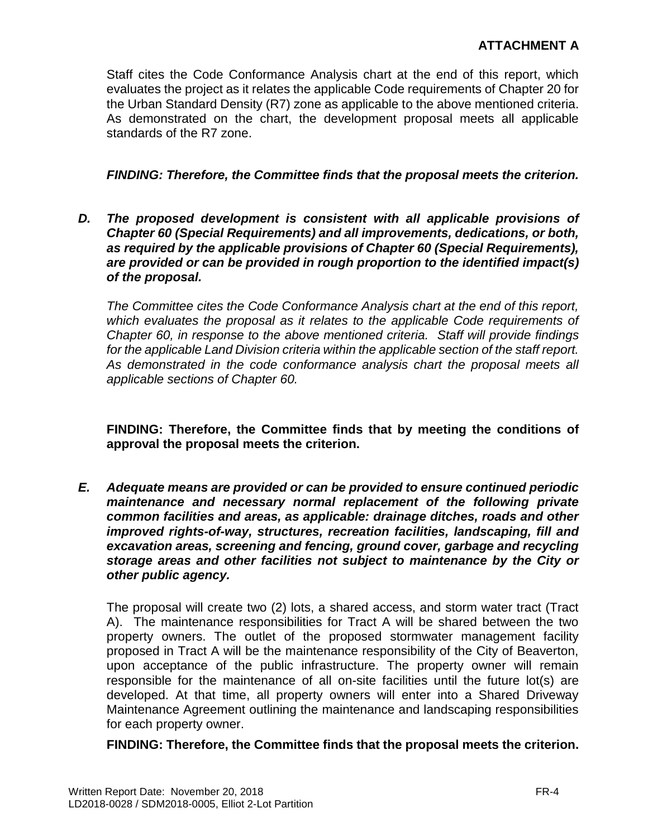Staff cites the Code Conformance Analysis chart at the end of this report, which evaluates the project as it relates the applicable Code requirements of Chapter 20 for the Urban Standard Density (R7) zone as applicable to the above mentioned criteria. As demonstrated on the chart, the development proposal meets all applicable standards of the R7 zone.

#### *FINDING: Therefore, the Committee finds that the proposal meets the criterion.*

*D. The proposed development is consistent with all applicable provisions of Chapter 60 (Special Requirements) and all improvements, dedications, or both, as required by the applicable provisions of Chapter 60 (Special Requirements), are provided or can be provided in rough proportion to the identified impact(s) of the proposal.*

*The Committee cites the Code Conformance Analysis chart at the end of this report, which evaluates the proposal as it relates to the applicable Code requirements of Chapter 60, in response to the above mentioned criteria. Staff will provide findings for the applicable Land Division criteria within the applicable section of the staff report. As demonstrated in the code conformance analysis chart the proposal meets all applicable sections of Chapter 60.*

**FINDING: Therefore, the Committee finds that by meeting the conditions of approval the proposal meets the criterion.** 

*E. Adequate means are provided or can be provided to ensure continued periodic maintenance and necessary normal replacement of the following private common facilities and areas, as applicable: drainage ditches, roads and other improved rights-of-way, structures, recreation facilities, landscaping, fill and excavation areas, screening and fencing, ground cover, garbage and recycling storage areas and other facilities not subject to maintenance by the City or other public agency.*

The proposal will create two (2) lots, a shared access, and storm water tract (Tract A). The maintenance responsibilities for Tract A will be shared between the two property owners. The outlet of the proposed stormwater management facility proposed in Tract A will be the maintenance responsibility of the City of Beaverton, upon acceptance of the public infrastructure. The property owner will remain responsible for the maintenance of all on-site facilities until the future lot(s) are developed. At that time, all property owners will enter into a Shared Driveway Maintenance Agreement outlining the maintenance and landscaping responsibilities for each property owner.

**FINDING: Therefore, the Committee finds that the proposal meets the criterion.**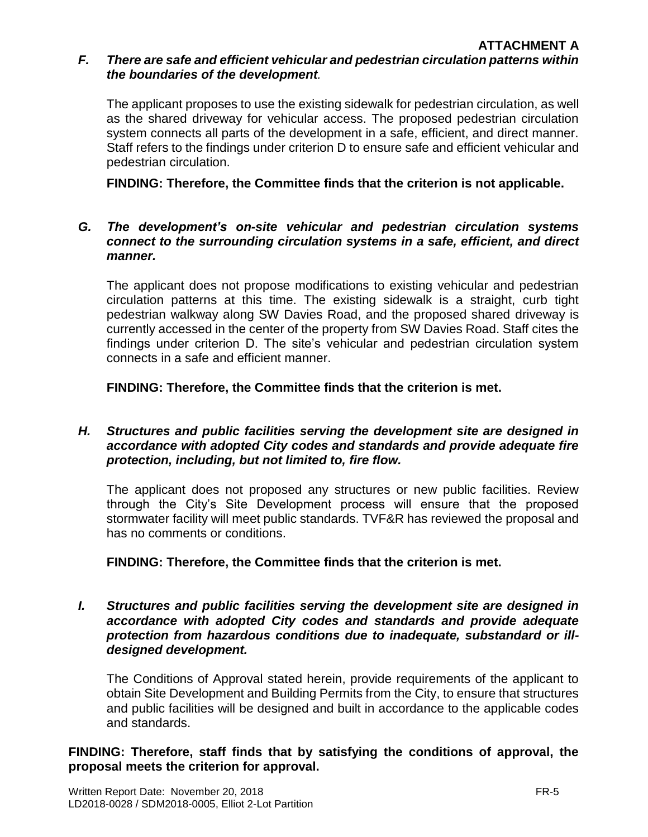# *F. There are safe and efficient vehicular and pedestrian circulation patterns within the boundaries of the development.*

The applicant proposes to use the existing sidewalk for pedestrian circulation, as well as the shared driveway for vehicular access. The proposed pedestrian circulation system connects all parts of the development in a safe, efficient, and direct manner. Staff refers to the findings under criterion D to ensure safe and efficient vehicular and pedestrian circulation.

**FINDING: Therefore, the Committee finds that the criterion is not applicable.** 

#### *G. The development's on-site vehicular and pedestrian circulation systems connect to the surrounding circulation systems in a safe, efficient, and direct manner.*

The applicant does not propose modifications to existing vehicular and pedestrian circulation patterns at this time. The existing sidewalk is a straight, curb tight pedestrian walkway along SW Davies Road, and the proposed shared driveway is currently accessed in the center of the property from SW Davies Road. Staff cites the findings under criterion D. The site's vehicular and pedestrian circulation system connects in a safe and efficient manner.

**FINDING: Therefore, the Committee finds that the criterion is met.** 

#### *H. Structures and public facilities serving the development site are designed in accordance with adopted City codes and standards and provide adequate fire protection, including, but not limited to, fire flow.*

The applicant does not proposed any structures or new public facilities. Review through the City's Site Development process will ensure that the proposed stormwater facility will meet public standards. TVF&R has reviewed the proposal and has no comments or conditions.

**FINDING: Therefore, the Committee finds that the criterion is met.**

#### *I. Structures and public facilities serving the development site are designed in accordance with adopted City codes and standards and provide adequate protection from hazardous conditions due to inadequate, substandard or illdesigned development.*

The Conditions of Approval stated herein, provide requirements of the applicant to obtain Site Development and Building Permits from the City, to ensure that structures and public facilities will be designed and built in accordance to the applicable codes and standards.

**FINDING: Therefore, staff finds that by satisfying the conditions of approval, the proposal meets the criterion for approval.**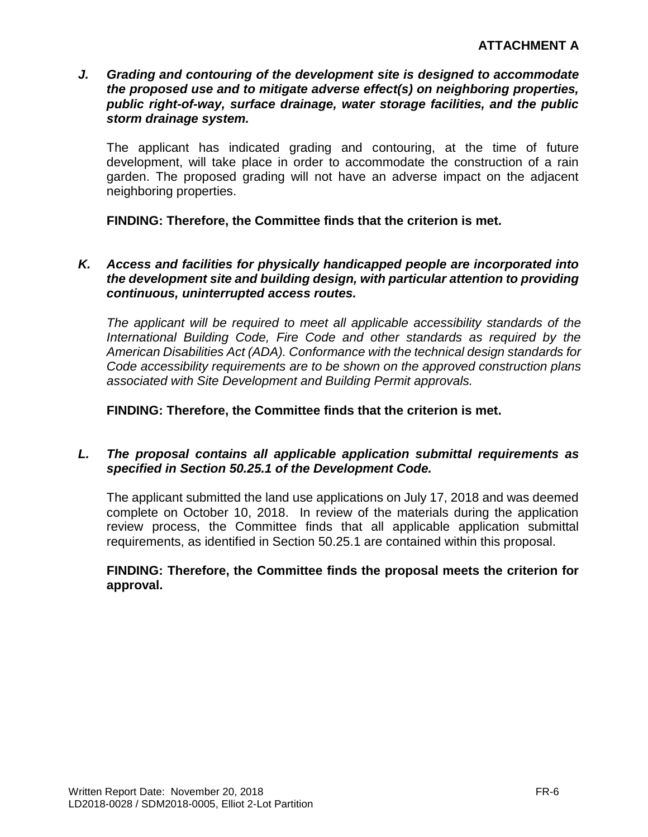*J. Grading and contouring of the development site is designed to accommodate the proposed use and to mitigate adverse effect(s) on neighboring properties, public right-of-way, surface drainage, water storage facilities, and the public storm drainage system.*

The applicant has indicated grading and contouring, at the time of future development, will take place in order to accommodate the construction of a rain garden. The proposed grading will not have an adverse impact on the adjacent neighboring properties.

**FINDING: Therefore, the Committee finds that the criterion is met.**

#### *K. Access and facilities for physically handicapped people are incorporated into the development site and building design, with particular attention to providing continuous, uninterrupted access routes.*

*The applicant will be required to meet all applicable accessibility standards of the International Building Code, Fire Code and other standards as required by the American Disabilities Act (ADA). Conformance with the technical design standards for Code accessibility requirements are to be shown on the approved construction plans associated with Site Development and Building Permit approvals.* 

**FINDING: Therefore, the Committee finds that the criterion is met.**

#### *L. The proposal contains all applicable application submittal requirements as specified in Section 50.25.1 of the Development Code.*

The applicant submitted the land use applications on July 17, 2018 and was deemed complete on October 10, 2018. In review of the materials during the application review process, the Committee finds that all applicable application submittal requirements, as identified in Section 50.25.1 are contained within this proposal.

#### **FINDING: Therefore, the Committee finds the proposal meets the criterion for approval.**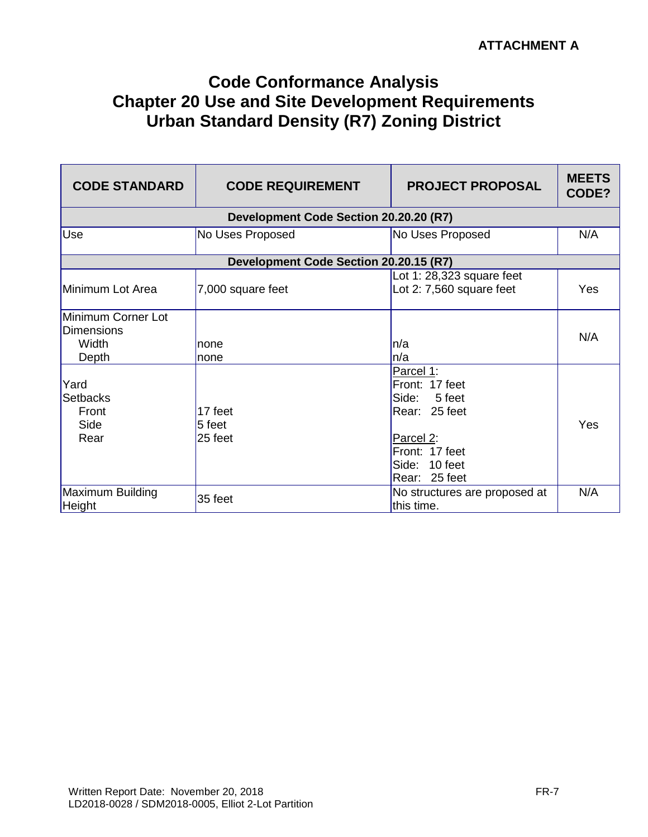# **Code Conformance Analysis Chapter 20 Use and Site Development Requirements Urban Standard Density (R7) Zoning District**

| <b>CODE STANDARD</b>                                      | <b>CODE REQUIREMENT</b>                | <b>PROJECT PROPOSAL</b>                                                                                                          | <b>MEETS</b><br>CODE? |
|-----------------------------------------------------------|----------------------------------------|----------------------------------------------------------------------------------------------------------------------------------|-----------------------|
|                                                           | Development Code Section 20.20.20 (R7) |                                                                                                                                  |                       |
| Use                                                       | No Uses Proposed                       | No Uses Proposed                                                                                                                 | N/A                   |
|                                                           | Development Code Section 20.20.15 (R7) |                                                                                                                                  |                       |
| Minimum Lot Area                                          | 7,000 square feet                      | Lot 1: $28,323$ square feet<br>Lot $2: 7,560$ square feet                                                                        | Yes                   |
| Minimum Corner Lot<br><b>Dimensions</b><br>Width<br>Depth | none<br>none                           | n/a<br>n/a                                                                                                                       | N/A                   |
| Yard<br><b>Setbacks</b><br>Front<br>Side<br>Rear          | 17 feet<br>$5$ feet<br>25 feet         | Parcel 1:<br>Front: 17 feet<br>Side:<br>5 feet<br>Rear: 25 feet<br>Parcel 2:<br>Front: 17 feet<br>Side: 10 feet<br>Rear: 25 feet | Yes                   |
| Maximum Building<br>Height                                | 35 feet                                | No structures are proposed at<br>this time.                                                                                      | N/A                   |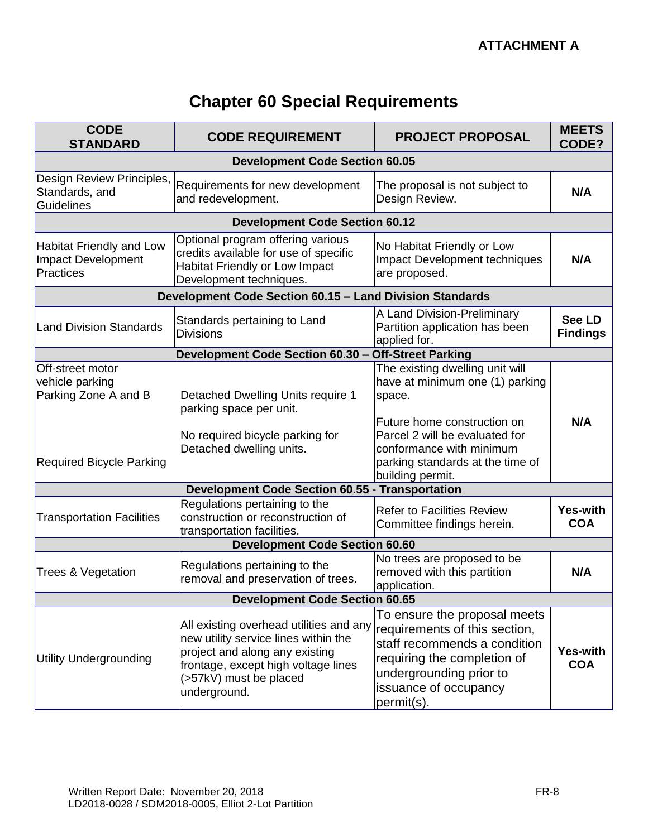# **Chapter 60 Special Requirements**

| <b>CODE</b><br><b>STANDARD</b>                                            | <b>CODE REQUIREMENT</b>                                                                                                                                                                            | <b>PROJECT PROPOSAL</b>                                                                                                                                                                        | <b>MEETS</b><br>CODE?            |  |
|---------------------------------------------------------------------------|----------------------------------------------------------------------------------------------------------------------------------------------------------------------------------------------------|------------------------------------------------------------------------------------------------------------------------------------------------------------------------------------------------|----------------------------------|--|
|                                                                           | <b>Development Code Section 60.05</b>                                                                                                                                                              |                                                                                                                                                                                                |                                  |  |
| Design Review Principles,<br>Standards, and<br>Guidelines                 | Requirements for new development<br>and redevelopment.                                                                                                                                             | The proposal is not subject to<br>Design Review.                                                                                                                                               | N/A                              |  |
|                                                                           | <b>Development Code Section 60.12</b>                                                                                                                                                              |                                                                                                                                                                                                |                                  |  |
| <b>Habitat Friendly and Low</b><br><b>Impact Development</b><br>Practices | Optional program offering various<br>credits available for use of specific<br><b>Habitat Friendly or Low Impact</b><br>Development techniques.                                                     | No Habitat Friendly or Low<br>Impact Development techniques<br>are proposed.                                                                                                                   | N/A                              |  |
|                                                                           | Development Code Section 60.15 - Land Division Standards                                                                                                                                           |                                                                                                                                                                                                |                                  |  |
| <b>Land Division Standards</b>                                            | Standards pertaining to Land<br><b>Divisions</b>                                                                                                                                                   | A Land Division-Preliminary<br>Partition application has been<br>applied for.                                                                                                                  | <b>See LD</b><br><b>Findings</b> |  |
|                                                                           | Development Code Section 60.30 - Off-Street Parking                                                                                                                                                |                                                                                                                                                                                                |                                  |  |
| Off-street motor<br>vehicle parking<br>Parking Zone A and B               | Detached Dwelling Units require 1<br>parking space per unit.                                                                                                                                       | The existing dwelling unit will<br>have at minimum one (1) parking<br>space.                                                                                                                   |                                  |  |
| <b>Required Bicycle Parking</b>                                           | No required bicycle parking for<br>Detached dwelling units.                                                                                                                                        | Future home construction on<br>Parcel 2 will be evaluated for<br>conformance with minimum<br>parking standards at the time of<br>building permit.                                              | N/A                              |  |
|                                                                           | <b>Development Code Section 60.55 - Transportation</b>                                                                                                                                             |                                                                                                                                                                                                |                                  |  |
| <b>Transportation Facilities</b>                                          | Regulations pertaining to the<br>construction or reconstruction of<br>transportation facilities.                                                                                                   | <b>Refer to Facilities Review</b><br>Committee findings herein.                                                                                                                                | <b>Yes-with</b><br><b>COA</b>    |  |
| <b>Development Code Section 60.60</b>                                     |                                                                                                                                                                                                    |                                                                                                                                                                                                |                                  |  |
| Trees & Vegetation                                                        | Regulations pertaining to the<br>removal and preservation of trees.                                                                                                                                | No trees are proposed to be<br>removed with this partition<br>application.                                                                                                                     | N/A                              |  |
| <b>Development Code Section 60.65</b>                                     |                                                                                                                                                                                                    |                                                                                                                                                                                                |                                  |  |
| <b>Utility Undergrounding</b>                                             | All existing overhead utilities and any<br>new utility service lines within the<br>project and along any existing<br>frontage, except high voltage lines<br>(>57kV) must be placed<br>underground. | To ensure the proposal meets<br>requirements of this section,<br>staff recommends a condition<br>requiring the completion of<br>undergrounding prior to<br>issuance of occupancy<br>permit(s). | <b>Yes-with</b><br><b>COA</b>    |  |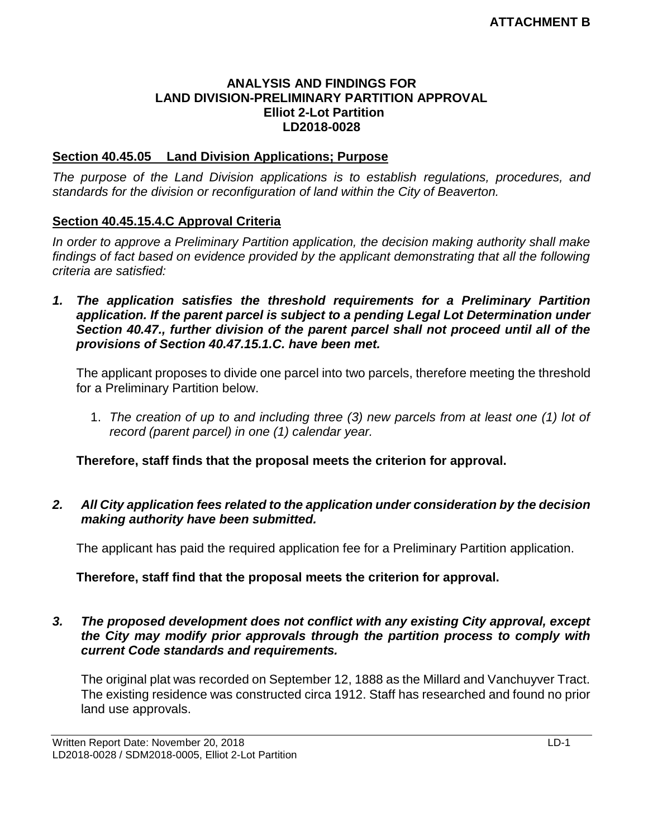#### **ANALYSIS AND FINDINGS FOR LAND DIVISION-PRELIMINARY PARTITION APPROVAL Elliot 2-Lot Partition LD2018-0028**

## **Section 40.45.05 Land Division Applications; Purpose**

*The purpose of the Land Division applications is to establish regulations, procedures, and standards for the division or reconfiguration of land within the City of Beaverton.* 

# **Section 40.45.15.4.C Approval Criteria**

*In order to approve a Preliminary Partition application, the decision making authority shall make*  findings of fact based on evidence provided by the applicant demonstrating that all the following *criteria are satisfied:*

1. The application satisfies the threshold requirements for a Preliminary Partition *application. If the parent parcel is subject to a pending Legal Lot Determination under Section 40.47., further division of the parent parcel shall not proceed until all of the provisions of Section 40.47.15.1.C. have been met.*

The applicant proposes to divide one parcel into two parcels, therefore meeting the threshold for a Preliminary Partition below.

1. *The creation of up to and including three (3) new parcels from at least one (1) lot of record (parent parcel) in one (1) calendar year.*

**Therefore, staff finds that the proposal meets the criterion for approval.**

*2. All City application fees related to the application under consideration by the decision making authority have been submitted.*

The applicant has paid the required application fee for a Preliminary Partition application.

# **Therefore, staff find that the proposal meets the criterion for approval.**

#### *3. The proposed development does not conflict with any existing City approval, except the City may modify prior approvals through the partition process to comply with current Code standards and requirements.*

The original plat was recorded on September 12, 1888 as the Millard and Vanchuyver Tract. The existing residence was constructed circa 1912. Staff has researched and found no prior land use approvals.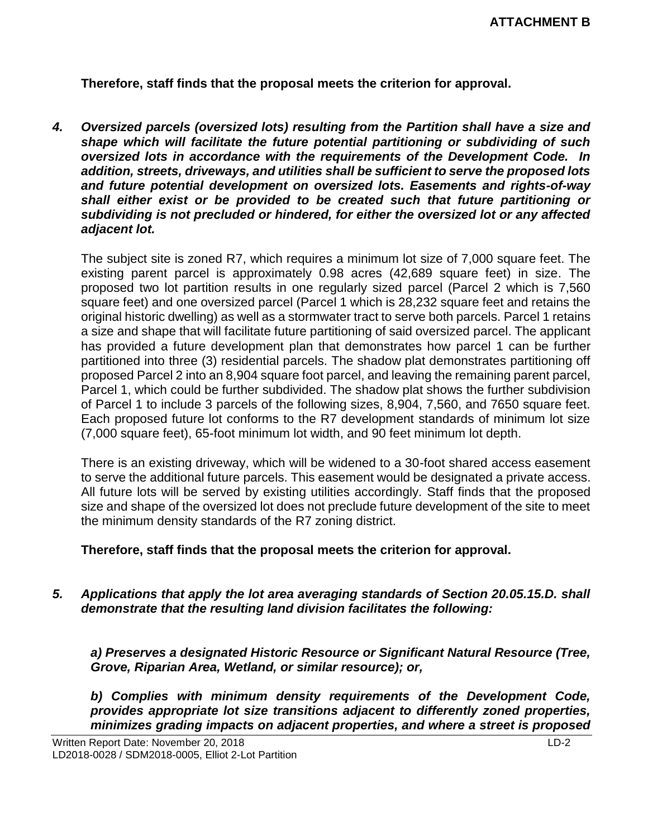**Therefore, staff finds that the proposal meets the criterion for approval.**

*4. Oversized parcels (oversized lots) resulting from the Partition shall have a size and shape which will facilitate the future potential partitioning or subdividing of such oversized lots in accordance with the requirements of the Development Code. In addition, streets, driveways, and utilities shall be sufficient to serve the proposed lots and future potential development on oversized lots. Easements and rights-of-way shall either exist or be provided to be created such that future partitioning or subdividing is not precluded or hindered, for either the oversized lot or any affected adjacent lot.*

The subject site is zoned R7, which requires a minimum lot size of 7,000 square feet. The existing parent parcel is approximately 0.98 acres (42,689 square feet) in size. The proposed two lot partition results in one regularly sized parcel (Parcel 2 which is 7,560 square feet) and one oversized parcel (Parcel 1 which is 28,232 square feet and retains the original historic dwelling) as well as a stormwater tract to serve both parcels. Parcel 1 retains a size and shape that will facilitate future partitioning of said oversized parcel. The applicant has provided a future development plan that demonstrates how parcel 1 can be further partitioned into three (3) residential parcels. The shadow plat demonstrates partitioning off proposed Parcel 2 into an 8,904 square foot parcel, and leaving the remaining parent parcel, Parcel 1, which could be further subdivided. The shadow plat shows the further subdivision of Parcel 1 to include 3 parcels of the following sizes, 8,904, 7,560, and 7650 square feet. Each proposed future lot conforms to the R7 development standards of minimum lot size (7,000 square feet), 65-foot minimum lot width, and 90 feet minimum lot depth.

There is an existing driveway, which will be widened to a 30-foot shared access easement to serve the additional future parcels. This easement would be designated a private access. All future lots will be served by existing utilities accordingly. Staff finds that the proposed size and shape of the oversized lot does not preclude future development of the site to meet the minimum density standards of the R7 zoning district.

**Therefore, staff finds that the proposal meets the criterion for approval.**

*5. Applications that apply the lot area averaging standards of Section 20.05.15.D. shall demonstrate that the resulting land division facilitates the following:* 

*a) Preserves a designated Historic Resource or Significant Natural Resource (Tree, Grove, Riparian Area, Wetland, or similar resource); or,* 

*b) Complies with minimum density requirements of the Development Code, provides appropriate lot size transitions adjacent to differently zoned properties, minimizes grading impacts on adjacent properties, and where a street is proposed*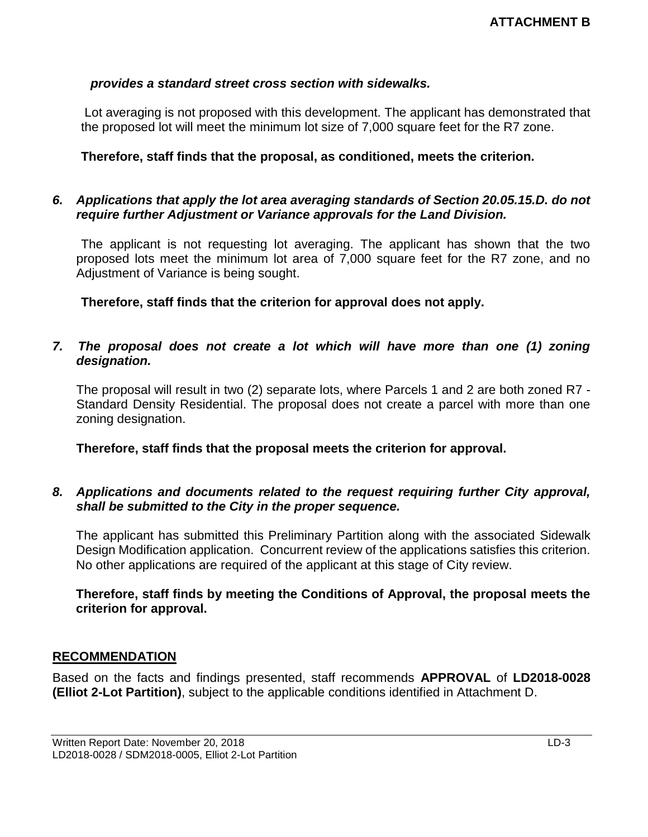#### *provides a standard street cross section with sidewalks.*

Lot averaging is not proposed with this development. The applicant has demonstrated that the proposed lot will meet the minimum lot size of 7,000 square feet for the R7 zone.

## **Therefore, staff finds that the proposal, as conditioned, meets the criterion.**

## *6. Applications that apply the lot area averaging standards of Section 20.05.15.D. do not require further Adjustment or Variance approvals for the Land Division.*

The applicant is not requesting lot averaging. The applicant has shown that the two proposed lots meet the minimum lot area of 7,000 square feet for the R7 zone, and no Adjustment of Variance is being sought.

**Therefore, staff finds that the criterion for approval does not apply.**

#### *7. The proposal does not create a lot which will have more than one (1) zoning designation.*

The proposal will result in two (2) separate lots, where Parcels 1 and 2 are both zoned R7 - Standard Density Residential. The proposal does not create a parcel with more than one zoning designation.

**Therefore, staff finds that the proposal meets the criterion for approval.**

# *8. Applications and documents related to the request requiring further City approval, shall be submitted to the City in the proper sequence.*

The applicant has submitted this Preliminary Partition along with the associated Sidewalk Design Modification application. Concurrent review of the applications satisfies this criterion. No other applications are required of the applicant at this stage of City review.

#### **Therefore, staff finds by meeting the Conditions of Approval, the proposal meets the criterion for approval.**

# **RECOMMENDATION**

Based on the facts and findings presented, staff recommends **APPROVAL** of **LD2018-0028 (Elliot 2-Lot Partition)**, subject to the applicable conditions identified in Attachment D.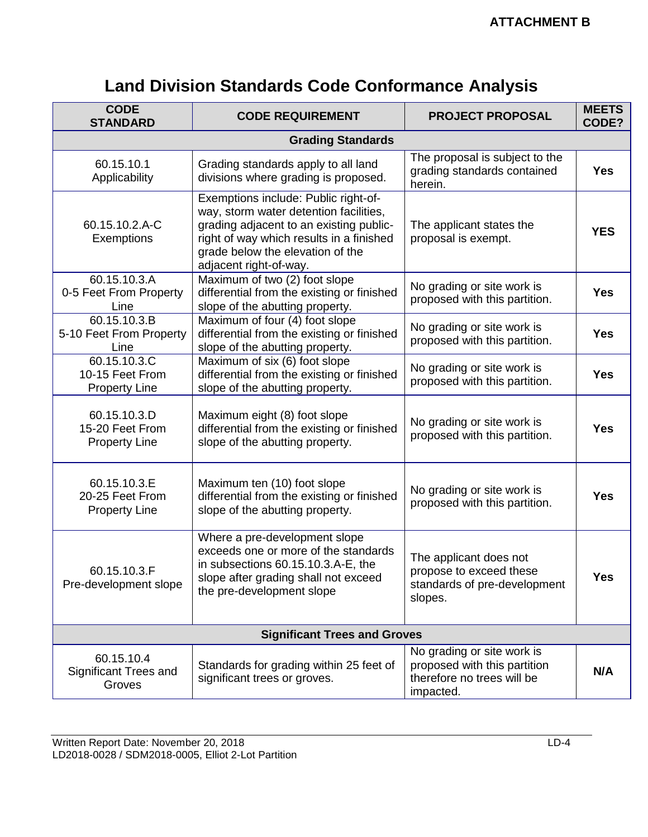| <b>Land Division Standards Code Conformance Analysis</b> |  |
|----------------------------------------------------------|--|
|----------------------------------------------------------|--|

| <b>CODE</b><br><b>STANDARD</b>                          | <b>CODE REQUIREMENT</b>                                                                                                                                                                                                             | <b>PROJECT PROPOSAL</b>                                                                               | <b>MEETS</b><br>CODE? |
|---------------------------------------------------------|-------------------------------------------------------------------------------------------------------------------------------------------------------------------------------------------------------------------------------------|-------------------------------------------------------------------------------------------------------|-----------------------|
| <b>Grading Standards</b>                                |                                                                                                                                                                                                                                     |                                                                                                       |                       |
| 60.15.10.1<br>Applicability                             | Grading standards apply to all land<br>divisions where grading is proposed.                                                                                                                                                         | The proposal is subject to the<br>grading standards contained<br>herein.                              | <b>Yes</b>            |
| 60.15.10.2.A-C<br>Exemptions                            | Exemptions include: Public right-of-<br>way, storm water detention facilities,<br>grading adjacent to an existing public-<br>right of way which results in a finished<br>grade below the elevation of the<br>adjacent right-of-way. | The applicant states the<br>proposal is exempt.                                                       | <b>YES</b>            |
| 60.15.10.3.A<br>0-5 Feet From Property<br>Line          | Maximum of two (2) foot slope<br>differential from the existing or finished<br>slope of the abutting property.                                                                                                                      | No grading or site work is<br>proposed with this partition.                                           | <b>Yes</b>            |
| 60.15.10.3.B<br>5-10 Feet From Property<br>Line         | Maximum of four (4) foot slope<br>differential from the existing or finished<br>slope of the abutting property.                                                                                                                     | No grading or site work is<br>proposed with this partition.                                           | <b>Yes</b>            |
| 60.15.10.3.C<br>10-15 Feet From<br><b>Property Line</b> | Maximum of six (6) foot slope<br>differential from the existing or finished<br>slope of the abutting property.                                                                                                                      | No grading or site work is<br>proposed with this partition.                                           | <b>Yes</b>            |
| 60.15.10.3.D<br>15-20 Feet From<br><b>Property Line</b> | Maximum eight (8) foot slope<br>differential from the existing or finished<br>slope of the abutting property.                                                                                                                       | No grading or site work is<br>proposed with this partition.                                           | <b>Yes</b>            |
| 60.15.10.3.E<br>20-25 Feet From<br><b>Property Line</b> | Maximum ten (10) foot slope<br>differential from the existing or finished<br>slope of the abutting property.                                                                                                                        | No grading or site work is<br>proposed with this partition.                                           | <b>Yes</b>            |
| 60.15.10.3.F<br>Pre-development slope                   | Where a pre-development slope<br>exceeds one or more of the standards<br>in subsections 60.15.10.3.A-E, the<br>slope after grading shall not exceed<br>the pre-development slope                                                    | The applicant does not<br>propose to exceed these<br>standards of pre-development<br>slopes.          | Yes                   |
| <b>Significant Trees and Groves</b>                     |                                                                                                                                                                                                                                     |                                                                                                       |                       |
| 60.15.10.4<br><b>Significant Trees and</b><br>Groves    | Standards for grading within 25 feet of<br>significant trees or groves.                                                                                                                                                             | No grading or site work is<br>proposed with this partition<br>therefore no trees will be<br>impacted. | N/A                   |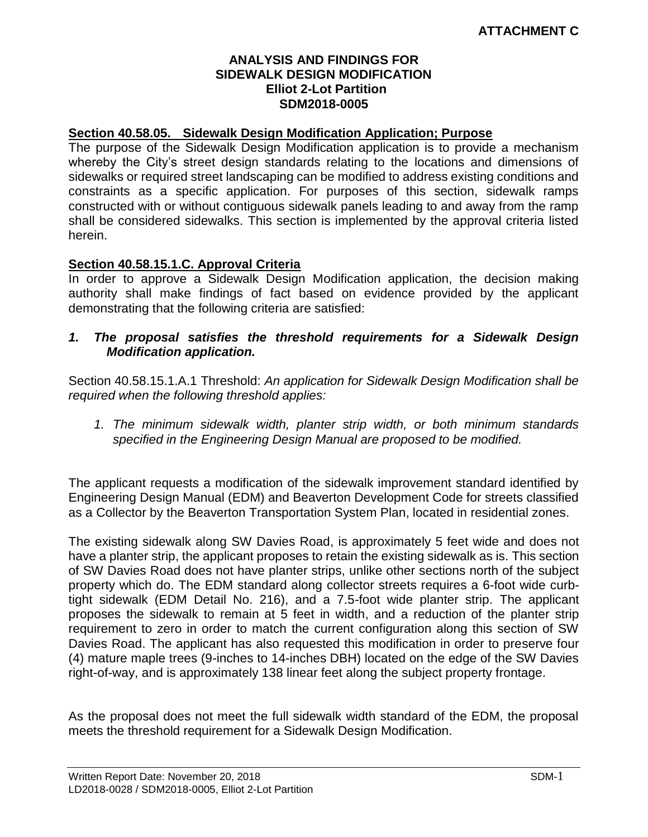#### **ANALYSIS AND FINDINGS FOR SIDEWALK DESIGN MODIFICATION Elliot 2-Lot Partition SDM2018-0005**

#### **Section 40.58.05. Sidewalk Design Modification Application; Purpose**

The purpose of the Sidewalk Design Modification application is to provide a mechanism whereby the City's street design standards relating to the locations and dimensions of sidewalks or required street landscaping can be modified to address existing conditions and constraints as a specific application. For purposes of this section, sidewalk ramps constructed with or without contiguous sidewalk panels leading to and away from the ramp shall be considered sidewalks. This section is implemented by the approval criteria listed herein.

#### **Section 40.58.15.1.C. Approval Criteria**

In order to approve a Sidewalk Design Modification application, the decision making authority shall make findings of fact based on evidence provided by the applicant demonstrating that the following criteria are satisfied:

#### *1. The proposal satisfies the threshold requirements for a Sidewalk Design Modification application.*

Section 40.58.15.1.A.1 Threshold: *An application for Sidewalk Design Modification shall be required when the following threshold applies:*

*1. The minimum sidewalk width, planter strip width, or both minimum standards specified in the Engineering Design Manual are proposed to be modified.*

The applicant requests a modification of the sidewalk improvement standard identified by Engineering Design Manual (EDM) and Beaverton Development Code for streets classified as a Collector by the Beaverton Transportation System Plan, located in residential zones.

The existing sidewalk along SW Davies Road, is approximately 5 feet wide and does not have a planter strip, the applicant proposes to retain the existing sidewalk as is. This section of SW Davies Road does not have planter strips, unlike other sections north of the subject property which do. The EDM standard along collector streets requires a 6-foot wide curbtight sidewalk (EDM Detail No. 216), and a 7.5-foot wide planter strip. The applicant proposes the sidewalk to remain at 5 feet in width, and a reduction of the planter strip requirement to zero in order to match the current configuration along this section of SW Davies Road. The applicant has also requested this modification in order to preserve four (4) mature maple trees (9-inches to 14-inches DBH) located on the edge of the SW Davies right-of-way, and is approximately 138 linear feet along the subject property frontage.

As the proposal does not meet the full sidewalk width standard of the EDM, the proposal meets the threshold requirement for a Sidewalk Design Modification.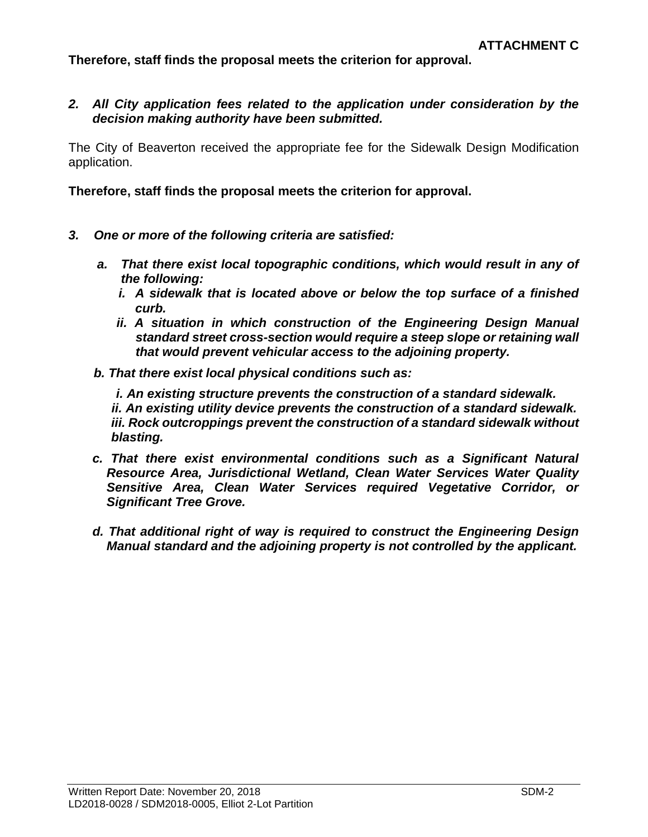**Therefore, staff finds the proposal meets the criterion for approval.**

#### *2. All City application fees related to the application under consideration by the decision making authority have been submitted.*

The City of Beaverton received the appropriate fee for the Sidewalk Design Modification application.

**Therefore, staff finds the proposal meets the criterion for approval.**

- *3. One or more of the following criteria are satisfied:*
	- *a. That there exist local topographic conditions, which would result in any of the following:*
		- *i. A sidewalk that is located above or below the top surface of a finished curb.*
		- *ii. A situation in which construction of the Engineering Design Manual standard street cross-section would require a steep slope or retaining wall that would prevent vehicular access to the adjoining property.*
	- *b. That there exist local physical conditions such as:*
		- *i. An existing structure prevents the construction of a standard sidewalk.*

*ii. An existing utility device prevents the construction of a standard sidewalk. iii. Rock outcroppings prevent the construction of a standard sidewalk without blasting.*

- *c. That there exist environmental conditions such as a Significant Natural Resource Area, Jurisdictional Wetland, Clean Water Services Water Quality Sensitive Area, Clean Water Services required Vegetative Corridor, or Significant Tree Grove.*
- *d. That additional right of way is required to construct the Engineering Design Manual standard and the adjoining property is not controlled by the applicant.*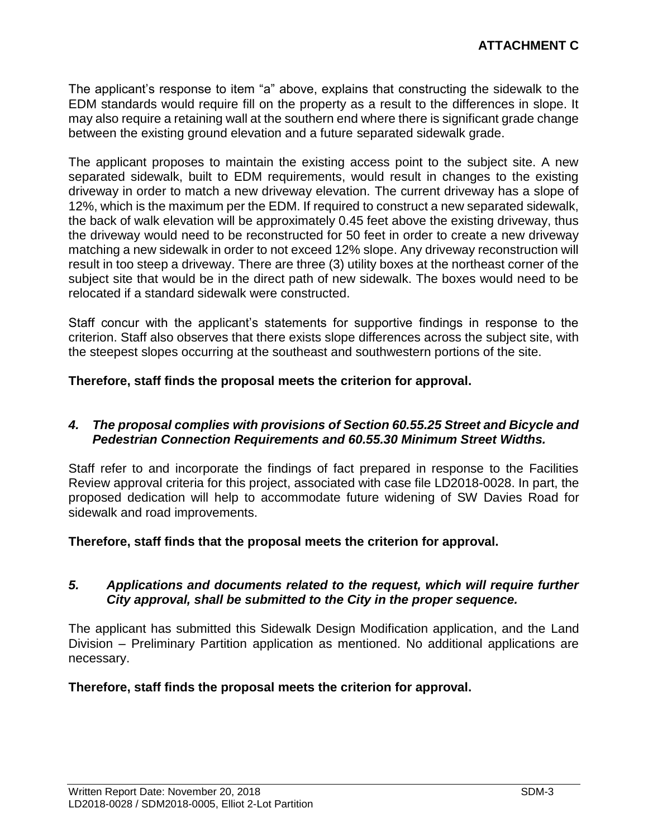The applicant's response to item "a" above, explains that constructing the sidewalk to the EDM standards would require fill on the property as a result to the differences in slope. It may also require a retaining wall at the southern end where there is significant grade change between the existing ground elevation and a future separated sidewalk grade.

The applicant proposes to maintain the existing access point to the subject site. A new separated sidewalk, built to EDM requirements, would result in changes to the existing driveway in order to match a new driveway elevation. The current driveway has a slope of 12%, which is the maximum per the EDM. If required to construct a new separated sidewalk, the back of walk elevation will be approximately 0.45 feet above the existing driveway, thus the driveway would need to be reconstructed for 50 feet in order to create a new driveway matching a new sidewalk in order to not exceed 12% slope. Any driveway reconstruction will result in too steep a driveway. There are three (3) utility boxes at the northeast corner of the subject site that would be in the direct path of new sidewalk. The boxes would need to be relocated if a standard sidewalk were constructed.

Staff concur with the applicant's statements for supportive findings in response to the criterion. Staff also observes that there exists slope differences across the subject site, with the steepest slopes occurring at the southeast and southwestern portions of the site.

#### **Therefore, staff finds the proposal meets the criterion for approval.**

#### *4. The proposal complies with provisions of Section 60.55.25 Street and Bicycle and Pedestrian Connection Requirements and 60.55.30 Minimum Street Widths.*

Staff refer to and incorporate the findings of fact prepared in response to the Facilities Review approval criteria for this project, associated with case file LD2018-0028. In part, the proposed dedication will help to accommodate future widening of SW Davies Road for sidewalk and road improvements.

**Therefore, staff finds that the proposal meets the criterion for approval.**

#### *5. Applications and documents related to the request, which will require further City approval, shall be submitted to the City in the proper sequence.*

The applicant has submitted this Sidewalk Design Modification application, and the Land Division – Preliminary Partition application as mentioned. No additional applications are necessary.

**Therefore, staff finds the proposal meets the criterion for approval.**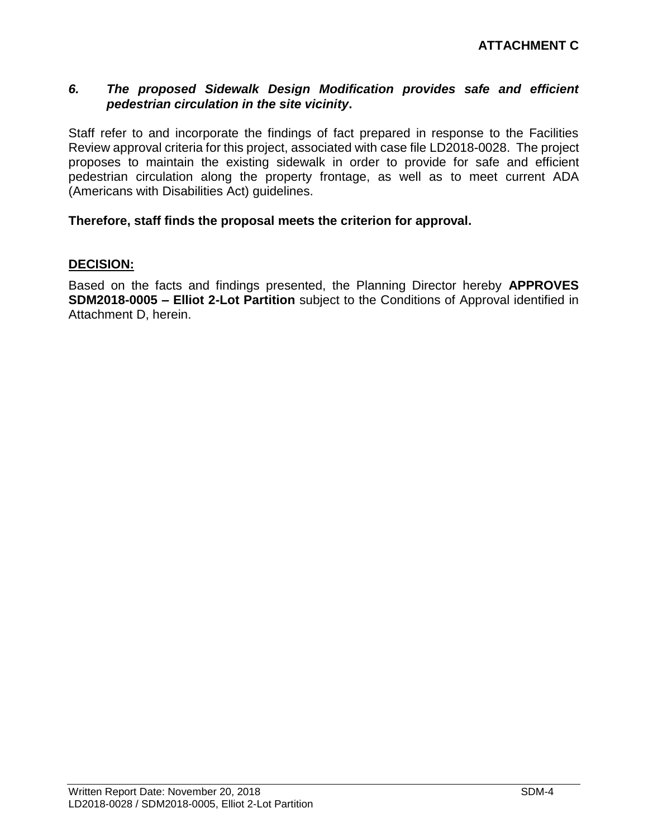## *6. The proposed Sidewalk Design Modification provides safe and efficient pedestrian circulation in the site vicinity***.**

Staff refer to and incorporate the findings of fact prepared in response to the Facilities Review approval criteria for this project, associated with case file LD2018-0028. The project proposes to maintain the existing sidewalk in order to provide for safe and efficient pedestrian circulation along the property frontage, as well as to meet current ADA (Americans with Disabilities Act) guidelines.

#### **Therefore, staff finds the proposal meets the criterion for approval.**

#### **DECISION:**

Based on the facts and findings presented, the Planning Director hereby **APPROVES SDM2018-0005 – Elliot 2-Lot Partition** subject to the Conditions of Approval identified in Attachment D, herein.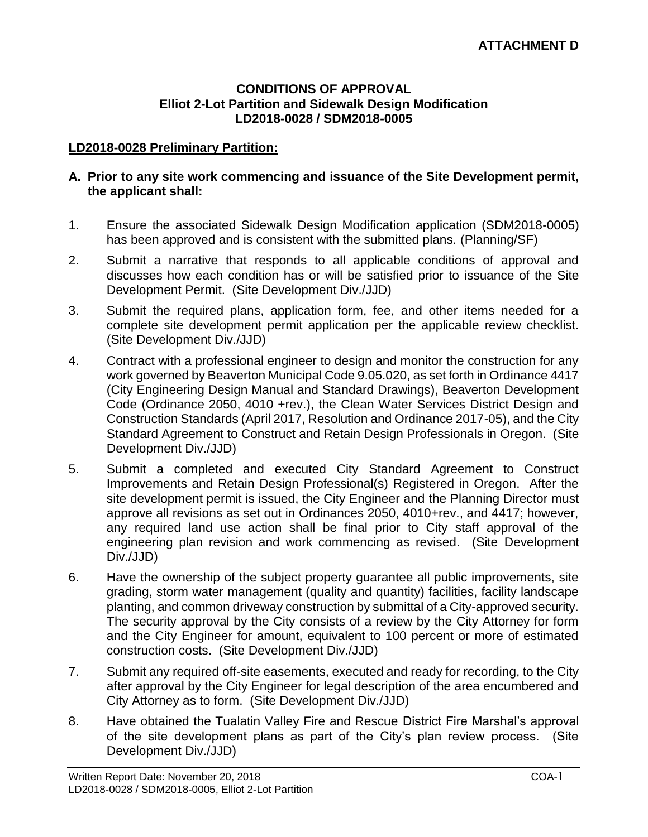#### **CONDITIONS OF APPROVAL Elliot 2-Lot Partition and Sidewalk Design Modification LD2018-0028 / SDM2018-0005**

#### **LD2018-0028 Preliminary Partition:**

#### **A. Prior to any site work commencing and issuance of the Site Development permit, the applicant shall:**

- 1. Ensure the associated Sidewalk Design Modification application (SDM2018-0005) has been approved and is consistent with the submitted plans. (Planning/SF)
- 2. Submit a narrative that responds to all applicable conditions of approval and discusses how each condition has or will be satisfied prior to issuance of the Site Development Permit. (Site Development Div./JJD)
- 3. Submit the required plans, application form, fee, and other items needed for a complete site development permit application per the applicable review checklist. (Site Development Div./JJD)
- 4. Contract with a professional engineer to design and monitor the construction for any work governed by Beaverton Municipal Code 9.05.020, as set forth in Ordinance 4417 (City Engineering Design Manual and Standard Drawings), Beaverton Development Code (Ordinance 2050, 4010 +rev.), the Clean Water Services District Design and Construction Standards (April 2017, Resolution and Ordinance 2017-05), and the City Standard Agreement to Construct and Retain Design Professionals in Oregon. (Site Development Div./JJD)
- 5. Submit a completed and executed City Standard Agreement to Construct Improvements and Retain Design Professional(s) Registered in Oregon. After the site development permit is issued, the City Engineer and the Planning Director must approve all revisions as set out in Ordinances 2050, 4010+rev., and 4417; however, any required land use action shall be final prior to City staff approval of the engineering plan revision and work commencing as revised. (Site Development Div./JJD)
- 6. Have the ownership of the subject property guarantee all public improvements, site grading, storm water management (quality and quantity) facilities, facility landscape planting, and common driveway construction by submittal of a City-approved security. The security approval by the City consists of a review by the City Attorney for form and the City Engineer for amount, equivalent to 100 percent or more of estimated construction costs. (Site Development Div./JJD)
- 7. Submit any required off-site easements, executed and ready for recording, to the City after approval by the City Engineer for legal description of the area encumbered and City Attorney as to form. (Site Development Div./JJD)
- 8. Have obtained the Tualatin Valley Fire and Rescue District Fire Marshal's approval of the site development plans as part of the City's plan review process. (Site Development Div./JJD)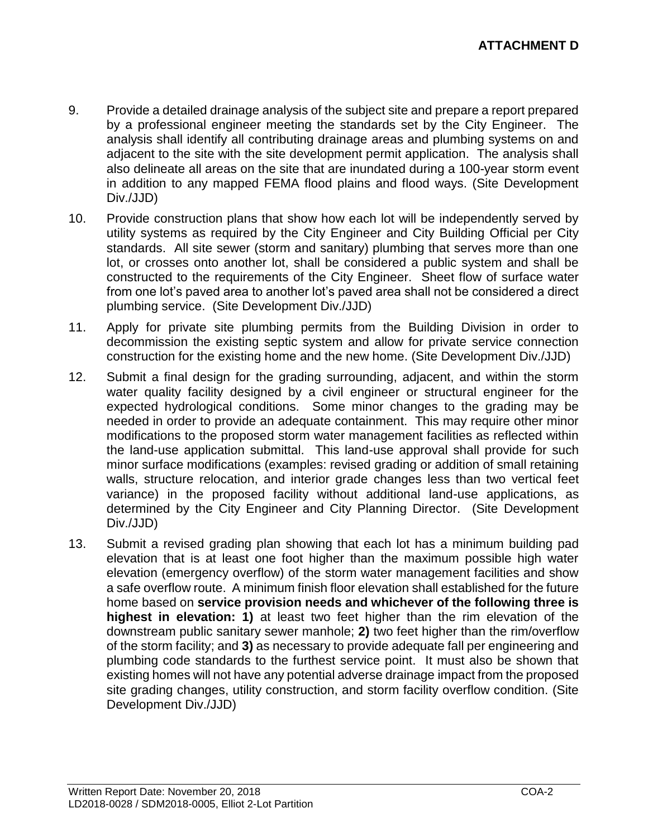- 9. Provide a detailed drainage analysis of the subject site and prepare a report prepared by a professional engineer meeting the standards set by the City Engineer. The analysis shall identify all contributing drainage areas and plumbing systems on and adjacent to the site with the site development permit application. The analysis shall also delineate all areas on the site that are inundated during a 100-year storm event in addition to any mapped FEMA flood plains and flood ways. (Site Development Div./JJD)
- 10. Provide construction plans that show how each lot will be independently served by utility systems as required by the City Engineer and City Building Official per City standards. All site sewer (storm and sanitary) plumbing that serves more than one lot, or crosses onto another lot, shall be considered a public system and shall be constructed to the requirements of the City Engineer. Sheet flow of surface water from one lot's paved area to another lot's paved area shall not be considered a direct plumbing service. (Site Development Div./JJD)
- 11. Apply for private site plumbing permits from the Building Division in order to decommission the existing septic system and allow for private service connection construction for the existing home and the new home. (Site Development Div./JJD)
- 12. Submit a final design for the grading surrounding, adjacent, and within the storm water quality facility designed by a civil engineer or structural engineer for the expected hydrological conditions. Some minor changes to the grading may be needed in order to provide an adequate containment. This may require other minor modifications to the proposed storm water management facilities as reflected within the land-use application submittal. This land-use approval shall provide for such minor surface modifications (examples: revised grading or addition of small retaining walls, structure relocation, and interior grade changes less than two vertical feet variance) in the proposed facility without additional land-use applications, as determined by the City Engineer and City Planning Director. (Site Development Div./JJD)
- 13. Submit a revised grading plan showing that each lot has a minimum building pad elevation that is at least one foot higher than the maximum possible high water elevation (emergency overflow) of the storm water management facilities and show a safe overflow route. A minimum finish floor elevation shall established for the future home based on **service provision needs and whichever of the following three is highest in elevation: 1)** at least two feet higher than the rim elevation of the downstream public sanitary sewer manhole; **2)** two feet higher than the rim/overflow of the storm facility; and **3)** as necessary to provide adequate fall per engineering and plumbing code standards to the furthest service point. It must also be shown that existing homes will not have any potential adverse drainage impact from the proposed site grading changes, utility construction, and storm facility overflow condition. (Site Development Div./JJD)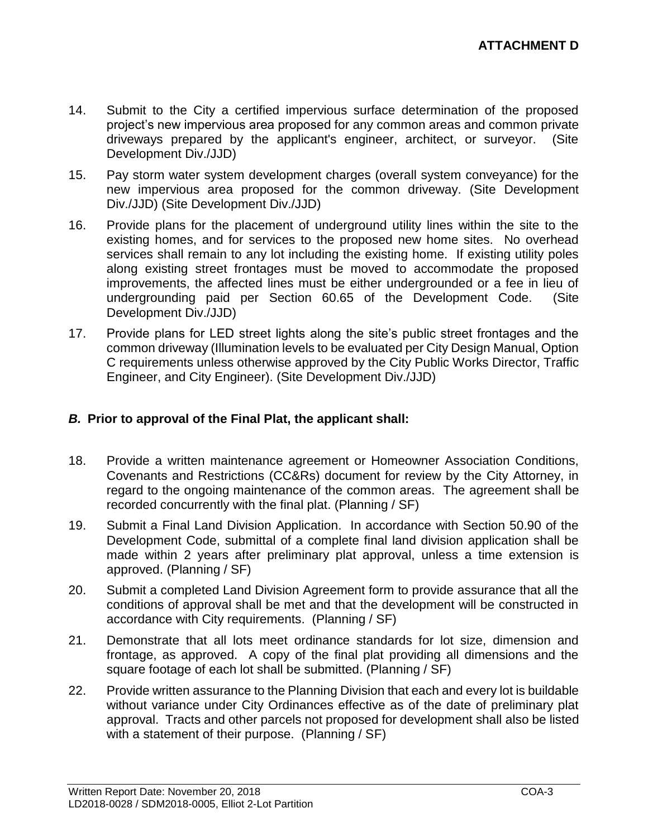- 14. Submit to the City a certified impervious surface determination of the proposed project's new impervious area proposed for any common areas and common private driveways prepared by the applicant's engineer, architect, or surveyor. (Site Development Div./JJD)
- 15. Pay storm water system development charges (overall system conveyance) for the new impervious area proposed for the common driveway. (Site Development Div./JJD) (Site Development Div./JJD)
- 16. Provide plans for the placement of underground utility lines within the site to the existing homes, and for services to the proposed new home sites. No overhead services shall remain to any lot including the existing home. If existing utility poles along existing street frontages must be moved to accommodate the proposed improvements, the affected lines must be either undergrounded or a fee in lieu of undergrounding paid per Section 60.65 of the Development Code. (Site Development Div./JJD)
- 17. Provide plans for LED street lights along the site's public street frontages and the common driveway (Illumination levels to be evaluated per City Design Manual, Option C requirements unless otherwise approved by the City Public Works Director, Traffic Engineer, and City Engineer). (Site Development Div./JJD)

# *B.* **Prior to approval of the Final Plat, the applicant shall:**

- 18. Provide a written maintenance agreement or Homeowner Association Conditions, Covenants and Restrictions (CC&Rs) document for review by the City Attorney, in regard to the ongoing maintenance of the common areas. The agreement shall be recorded concurrently with the final plat. (Planning / SF)
- 19. Submit a Final Land Division Application. In accordance with Section 50.90 of the Development Code, submittal of a complete final land division application shall be made within 2 years after preliminary plat approval, unless a time extension is approved. (Planning / SF)
- 20. Submit a completed Land Division Agreement form to provide assurance that all the conditions of approval shall be met and that the development will be constructed in accordance with City requirements. (Planning / SF)
- 21. Demonstrate that all lots meet ordinance standards for lot size, dimension and frontage, as approved. A copy of the final plat providing all dimensions and the square footage of each lot shall be submitted. (Planning / SF)
- 22. Provide written assurance to the Planning Division that each and every lot is buildable without variance under City Ordinances effective as of the date of preliminary plat approval. Tracts and other parcels not proposed for development shall also be listed with a statement of their purpose. (Planning / SF)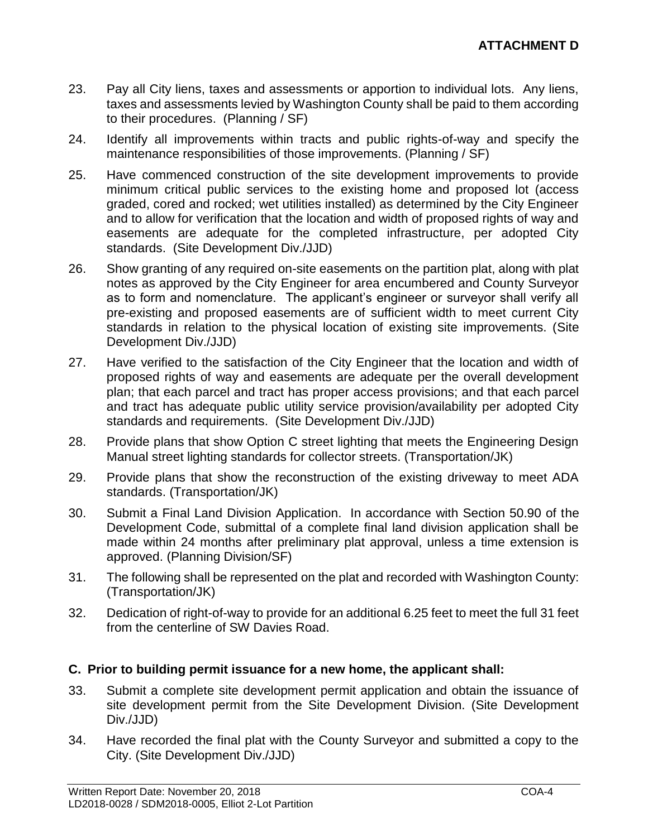- 23. Pay all City liens, taxes and assessments or apportion to individual lots. Any liens, taxes and assessments levied by Washington County shall be paid to them according to their procedures. (Planning / SF)
- 24. Identify all improvements within tracts and public rights-of-way and specify the maintenance responsibilities of those improvements. (Planning / SF)
- 25. Have commenced construction of the site development improvements to provide minimum critical public services to the existing home and proposed lot (access graded, cored and rocked; wet utilities installed) as determined by the City Engineer and to allow for verification that the location and width of proposed rights of way and easements are adequate for the completed infrastructure, per adopted City standards. (Site Development Div./JJD)
- 26. Show granting of any required on-site easements on the partition plat, along with plat notes as approved by the City Engineer for area encumbered and County Surveyor as to form and nomenclature. The applicant's engineer or surveyor shall verify all pre-existing and proposed easements are of sufficient width to meet current City standards in relation to the physical location of existing site improvements. (Site Development Div./JJD)
- 27. Have verified to the satisfaction of the City Engineer that the location and width of proposed rights of way and easements are adequate per the overall development plan; that each parcel and tract has proper access provisions; and that each parcel and tract has adequate public utility service provision/availability per adopted City standards and requirements. (Site Development Div./JJD)
- 28. Provide plans that show Option C street lighting that meets the Engineering Design Manual street lighting standards for collector streets. (Transportation/JK)
- 29. Provide plans that show the reconstruction of the existing driveway to meet ADA standards. (Transportation/JK)
- 30. Submit a Final Land Division Application. In accordance with Section 50.90 of the Development Code, submittal of a complete final land division application shall be made within 24 months after preliminary plat approval, unless a time extension is approved. (Planning Division/SF)
- 31. The following shall be represented on the plat and recorded with Washington County: (Transportation/JK)
- 32. Dedication of right-of-way to provide for an additional 6.25 feet to meet the full 31 feet from the centerline of SW Davies Road.

# **C. Prior to building permit issuance for a new home, the applicant shall:**

- 33. Submit a complete site development permit application and obtain the issuance of site development permit from the Site Development Division. (Site Development Div./JJD)
- 34. Have recorded the final plat with the County Surveyor and submitted a copy to the City. (Site Development Div./JJD)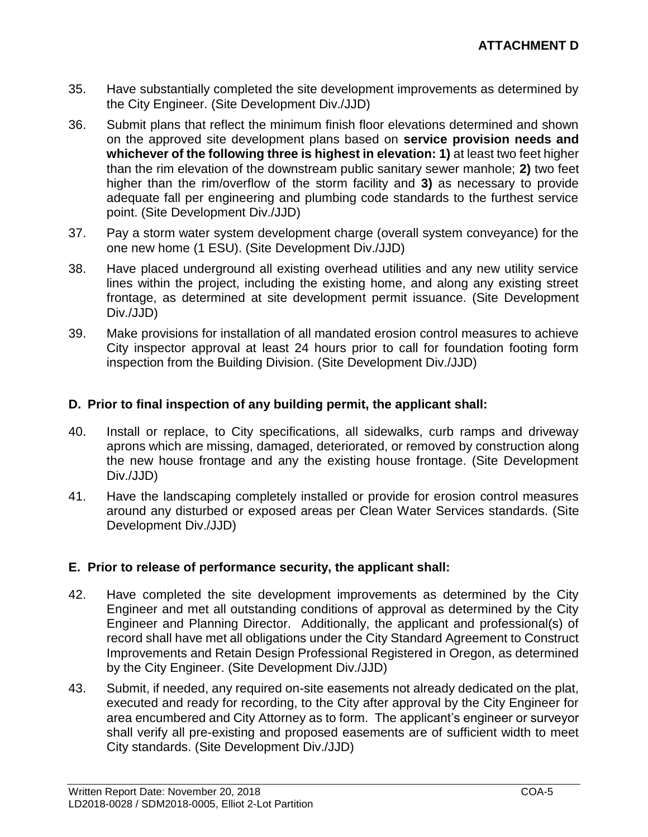- 35. Have substantially completed the site development improvements as determined by the City Engineer. (Site Development Div./JJD)
- 36. Submit plans that reflect the minimum finish floor elevations determined and shown on the approved site development plans based on **service provision needs and whichever of the following three is highest in elevation: 1)** at least two feet higher than the rim elevation of the downstream public sanitary sewer manhole; **2)** two feet higher than the rim/overflow of the storm facility and **3)** as necessary to provide adequate fall per engineering and plumbing code standards to the furthest service point. (Site Development Div./JJD)
- 37. Pay a storm water system development charge (overall system conveyance) for the one new home (1 ESU). (Site Development Div./JJD)
- 38. Have placed underground all existing overhead utilities and any new utility service lines within the project, including the existing home, and along any existing street frontage, as determined at site development permit issuance. (Site Development Div./JJD)
- 39. Make provisions for installation of all mandated erosion control measures to achieve City inspector approval at least 24 hours prior to call for foundation footing form inspection from the Building Division. (Site Development Div./JJD)

# **D. Prior to final inspection of any building permit, the applicant shall:**

- 40. Install or replace, to City specifications, all sidewalks, curb ramps and driveway aprons which are missing, damaged, deteriorated, or removed by construction along the new house frontage and any the existing house frontage. (Site Development Div./JJD)
- 41. Have the landscaping completely installed or provide for erosion control measures around any disturbed or exposed areas per Clean Water Services standards. (Site Development Div./JJD)

# **E. Prior to release of performance security, the applicant shall:**

- 42. Have completed the site development improvements as determined by the City Engineer and met all outstanding conditions of approval as determined by the City Engineer and Planning Director. Additionally, the applicant and professional(s) of record shall have met all obligations under the City Standard Agreement to Construct Improvements and Retain Design Professional Registered in Oregon, as determined by the City Engineer. (Site Development Div./JJD)
- 43. Submit, if needed, any required on-site easements not already dedicated on the plat, executed and ready for recording, to the City after approval by the City Engineer for area encumbered and City Attorney as to form. The applicant's engineer or surveyor shall verify all pre-existing and proposed easements are of sufficient width to meet City standards. (Site Development Div./JJD)